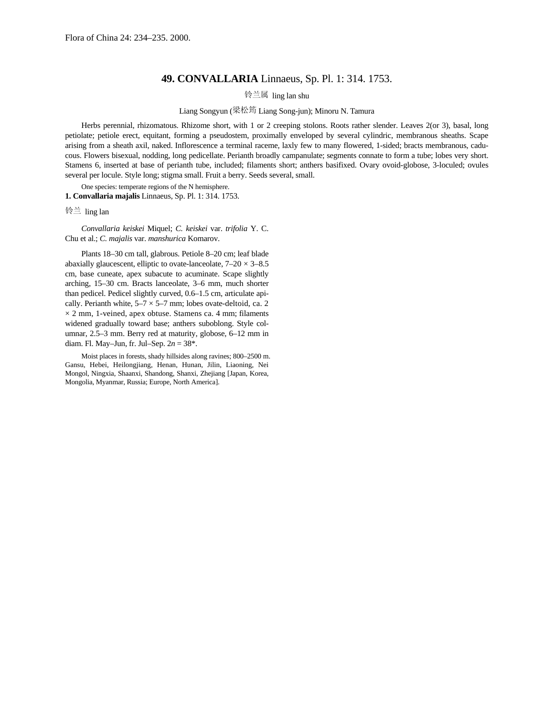## **49. CONVALLARIA** Linnaeus, Sp. Pl. 1: 314. 1753.

铃兰属 ling lan shu

## Liang Songyun (梁松筠 Liang Song-jun); Minoru N. Tamura

Herbs perennial, rhizomatous. Rhizome short, with 1 or 2 creeping stolons. Roots rather slender. Leaves 2(or 3), basal, long petiolate; petiole erect, equitant, forming a pseudostem, proximally enveloped by several cylindric, membranous sheaths. Scape arising from a sheath axil, naked. Inflorescence a terminal raceme, laxly few to many flowered, 1-sided; bracts membranous, caducous. Flowers bisexual, nodding, long pedicellate. Perianth broadly campanulate; segments connate to form a tube; lobes very short. Stamens 6, inserted at base of perianth tube, included; filaments short; anthers basifixed. Ovary ovoid-globose, 3-loculed; ovules several per locule. Style long; stigma small. Fruit a berry. Seeds several, small.

One species: temperate regions of the N hemisphere. **1. Convallaria majalis** Linnaeus, Sp. Pl. 1: 314. 1753.

铃兰 ling lan

*Convallaria keiskei* Miquel; *C. keiskei* var. *trifolia* Y. C. Chu et al.; *C. majalis* var. *manshurica* Komarov.

Plants 18–30 cm tall, glabrous. Petiole 8–20 cm; leaf blade abaxially glaucescent, elliptic to ovate-lanceolate,  $7-20 \times 3-8.5$ cm, base cuneate, apex subacute to acuminate. Scape slightly arching, 15–30 cm. Bracts lanceolate, 3–6 mm, much shorter than pedicel. Pedicel slightly curved, 0.6–1.5 cm, articulate apically. Perianth white,  $5-7 \times 5-7$  mm; lobes ovate-deltoid, ca. 2  $\times$  2 mm, 1-veined, apex obtuse. Stamens ca. 4 mm; filaments widened gradually toward base; anthers suboblong. Style columnar, 2.5–3 mm. Berry red at maturity, globose, 6–12 mm in diam. Fl. May–Jun, fr. Jul–Sep. 2*n* = 38\*.

Moist places in forests, shady hillsides along ravines; 800–2500 m. Gansu, Hebei, Heilongjiang, Henan, Hunan, Jilin, Liaoning, Nei Mongol, Ningxia, Shaanxi, Shandong, Shanxi, Zhejiang [Japan, Korea, Mongolia, Myanmar, Russia; Europe, North America].